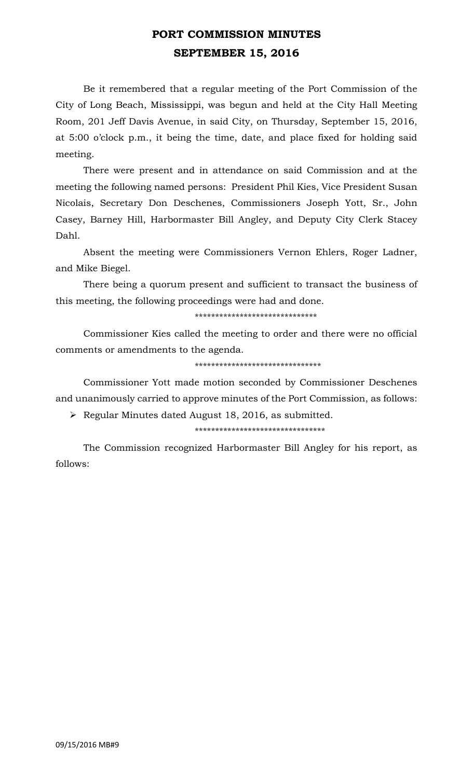## **PORT COMMISSION MINUTES SEPTEMBER 15, 2016**

Be it remembered that a regular meeting of the Port Commission of the City of Long Beach, Mississippi, was begun and held at the City Hall Meeting Room, 201 Jeff Davis Avenue, in said City, on Thursday, September 15, 2016, at 5:00 o'clock p.m., it being the time, date, and place fixed for holding said meeting.

There were present and in attendance on said Commission and at the meeting the following named persons: President Phil Kies, Vice President Susan Nicolais, Secretary Don Deschenes, Commissioners Joseph Yott, Sr., John Casey, Barney Hill, Harbormaster Bill Angley, and Deputy City Clerk Stacey Dahl.

Absent the meeting were Commissioners Vernon Ehlers, Roger Ladner, and Mike Biegel.

There being a quorum present and sufficient to transact the business of this meeting, the following proceedings were had and done.

\*\*\*\*\*\*\*\*\*\*\*\*\*\*\*\*\*\*\*\*\*\*\*\*\*\*\*\*\*\*

Commissioner Kies called the meeting to order and there were no official comments or amendments to the agenda.

#### \*\*\*\*\*\*\*\*\*\*\*\*\*\*\*\*\*\*\*\*\*\*\*\*\*\*\*\*\*\*\*

Commissioner Yott made motion seconded by Commissioner Deschenes and unanimously carried to approve minutes of the Port Commission, as follows:

 $\triangleright$  Regular Minutes dated August 18, 2016, as submitted.

\*\*\*\*\*\*\*\*\*\*\*\*\*\*\*\*\*\*\*\*\*\*\*\*\*\*\*\*\*\*\*\*

The Commission recognized Harbormaster Bill Angley for his report, as follows: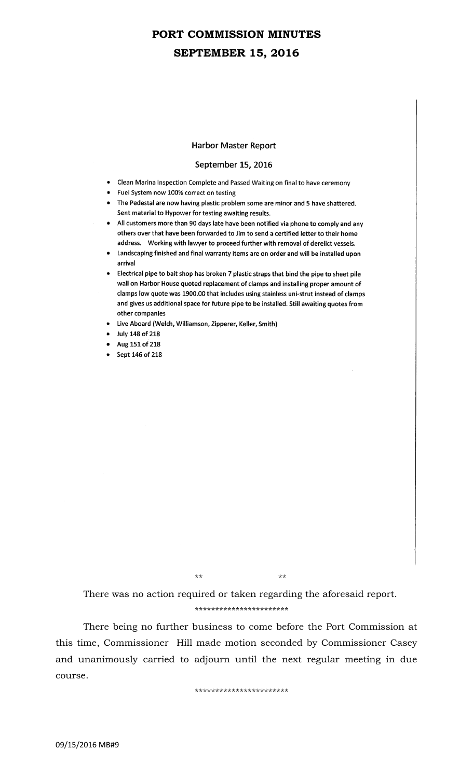## **PORT COMMISSION MINUTES SEPTEMBER 15, 2016**

#### **Harbor Master Report**

### September 15, 2016

- Clean Marina Inspection Complete and Passed Waiting on final to have ceremony
- Fuel System now 100% correct on testing
- The Pedestal are now having plastic problem some are minor and 5 have shattered. Sent material to Hypower for testing awaiting results.
- All customers more than 90 days late have been notified via phone to comply and any others over that have been forwarded to Jim to send a certified letter to their home address. Working with lawyer to proceed further with removal of derelict vessels.
- Landscaping finished and final warranty items are on order and will be installed upon arrival
- Electrical pipe to bait shop has broken 7 plastic straps that bind the pipe to sheet pile wall on Harbor House quoted replacement of clamps and installing proper amount of clamps low quote was 1900.00 that includes using stainless uni-strut instead of clamps and gives us additional space for future pipe to be installed. Still awaiting quotes from other companies
- Live Aboard (Welch, Williamson, Zipperer, Keller, Smith)
- July 148 of 218
- Aug 151 of 218
- Sept 146 of 218

\*\* \*\*

There was no action required or taken regarding the aforesaid report.

\*\*\*\*\*\*\*\*\*\*\*\*\*\*\*\*\*\*\*\*\*\*\*

There being no further business to come before the Port Commission at this time, Commissioner Hill made motion seconded by Commissioner Casey and unanimously carried to adjourn until the next regular meeting in due course.

\*\*\*\*\*\*\*\*\*\*\*\*\*\*\*\*\*\*\*\*\*\*\*